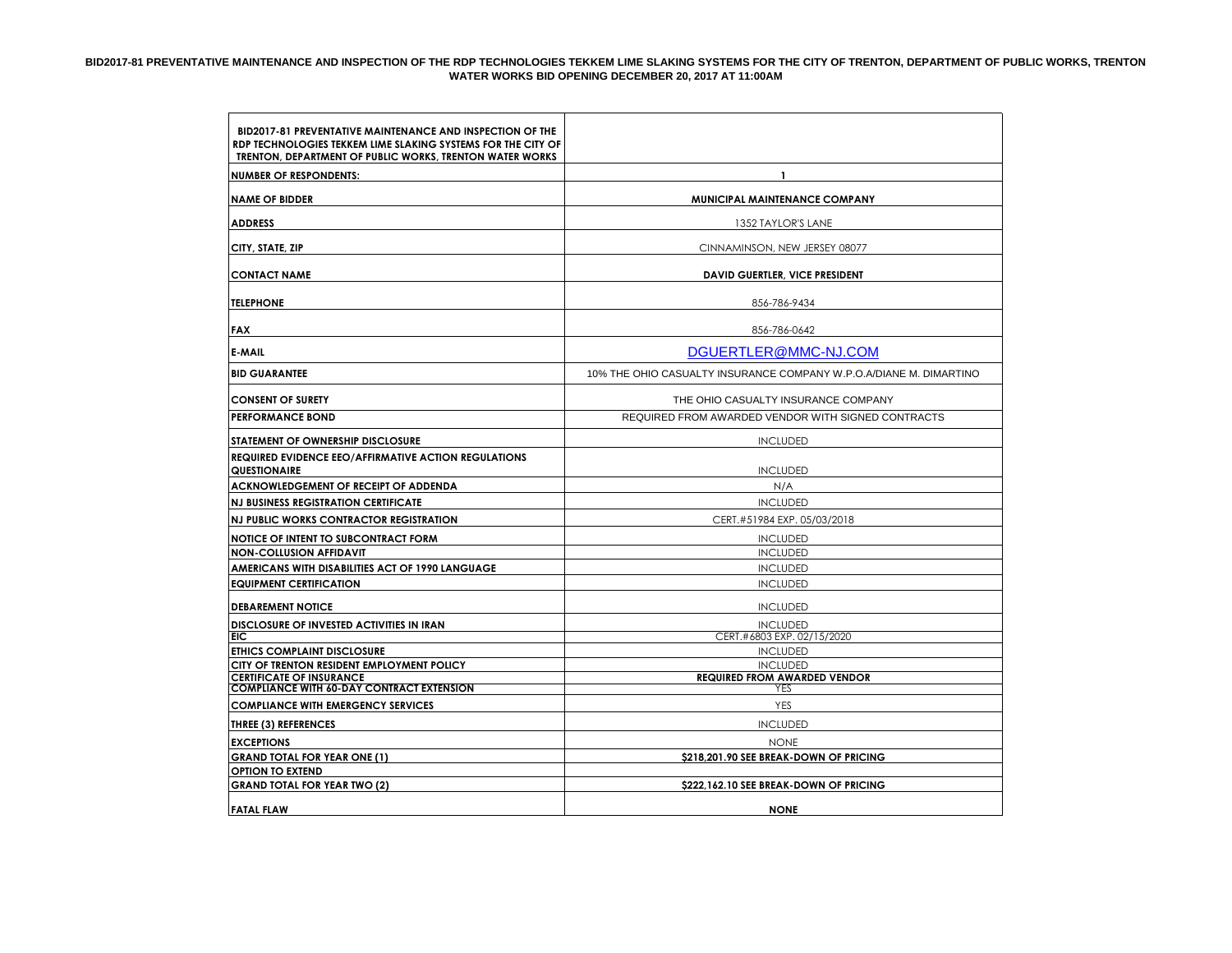## **BID2017-81 PREVENTATIVE MAINTENANCE AND INSPECTION OF THE RDP TECHNOLOGIES TEKKEM LIME SLAKING SYSTEMS FOR THE CITY OF TRENTON, DEPARTMENT OF PUBLIC WORKS, TRENTON WATER WORKS BID OPENING DECEMBER 20, 2017 AT 11:00AM**

| <b>BID2017-81 PREVENTATIVE MAINTENANCE AND INSPECTION OF THE</b><br>RDP TECHNOLOGIES TEKKEM LIME SLAKING SYSTEMS FOR THE CITY OF<br>TRENTON, DEPARTMENT OF PUBLIC WORKS, TRENTON WATER WORKS |                                                                    |  |  |
|----------------------------------------------------------------------------------------------------------------------------------------------------------------------------------------------|--------------------------------------------------------------------|--|--|
| <b>NUMBER OF RESPONDENTS:</b>                                                                                                                                                                | $\mathbf{1}$                                                       |  |  |
| <b>NAME OF BIDDER</b>                                                                                                                                                                        | <b>MUNICIPAL MAINTENANCE COMPANY</b>                               |  |  |
|                                                                                                                                                                                              |                                                                    |  |  |
| <b>ADDRESS</b>                                                                                                                                                                               | 1352 TAYLOR'S LANE                                                 |  |  |
| CITY, STATE, ZIP                                                                                                                                                                             | CINNAMINSON, NEW JERSEY 08077                                      |  |  |
| <b>CONTACT NAME</b>                                                                                                                                                                          | <b>DAVID GUERTLER, VICE PRESIDENT</b>                              |  |  |
| <b>TELEPHONE</b>                                                                                                                                                                             | 856-786-9434                                                       |  |  |
|                                                                                                                                                                                              |                                                                    |  |  |
| <b>FAX</b>                                                                                                                                                                                   | 856-786-0642                                                       |  |  |
| E-MAIL                                                                                                                                                                                       | DGUERTLER@MMC-NJ.COM                                               |  |  |
| <b>BID GUARANTEE</b>                                                                                                                                                                         | 10% THE OHIO CASUALTY INSURANCE COMPANY W.P.O.A/DIANE M. DIMARTINO |  |  |
| <b>CONSENT OF SURETY</b>                                                                                                                                                                     | THE OHIO CASUALTY INSURANCE COMPANY                                |  |  |
| <b>PERFORMANCE BOND</b>                                                                                                                                                                      | REQUIRED FROM AWARDED VENDOR WITH SIGNED CONTRACTS                 |  |  |
| STATEMENT OF OWNERSHIP DISCLOSURE                                                                                                                                                            | <b>INCLUDED</b>                                                    |  |  |
| <b>REQUIRED EVIDENCE EEO/AFFIRMATIVE ACTION REGULATIONS</b>                                                                                                                                  |                                                                    |  |  |
| QUESTIONAIRE                                                                                                                                                                                 | <b>INCLUDED</b>                                                    |  |  |
| <b>ACKNOWLEDGEMENT OF RECEIPT OF ADDENDA</b>                                                                                                                                                 | N/A                                                                |  |  |
| <b>NJ BUSINESS REGISTRATION CERTIFICATE</b>                                                                                                                                                  | <b>INCLUDED</b>                                                    |  |  |
| <b>NJ PUBLIC WORKS CONTRACTOR REGISTRATION</b>                                                                                                                                               | CERT.#51984 EXP. 05/03/2018                                        |  |  |
| <b>NOTICE OF INTENT TO SUBCONTRACT FORM</b>                                                                                                                                                  | <b>INCLUDED</b>                                                    |  |  |
| <b>NON-COLLUSION AFFIDAVIT</b>                                                                                                                                                               | <b>INCLUDED</b>                                                    |  |  |
| AMERICANS WITH DISABILITIES ACT OF 1990 LANGUAGE                                                                                                                                             | <b>INCLUDED</b>                                                    |  |  |
| <b>EQUIPMENT CERTIFICATION</b>                                                                                                                                                               | <b>INCLUDED</b>                                                    |  |  |
| <b>DEBAREMENT NOTICE</b>                                                                                                                                                                     | <b>INCLUDED</b>                                                    |  |  |
| <b>DISCLOSURE OF INVESTED ACTIVITIES IN IRAN</b>                                                                                                                                             | <b>INCLUDED</b>                                                    |  |  |
| EIC.                                                                                                                                                                                         | CERT.#6803 EXP. 02/15/2020                                         |  |  |
| <b>ETHICS COMPLAINT DISCLOSURE</b>                                                                                                                                                           | <b>INCLUDED</b>                                                    |  |  |
| CITY OF TRENTON RESIDENT EMPLOYMENT POLICY<br><b>CERTIFICATE OF INSURANCE</b>                                                                                                                | <b>INCLUDED</b><br><b>REQUIRED FROM AWARDED VENDOR</b>             |  |  |
| <b>COMPLIANCE WITH 60-DAY CONTRACT EXTENSION</b>                                                                                                                                             | YES                                                                |  |  |
| <b>COMPLIANCE WITH EMERGENCY SERVICES</b>                                                                                                                                                    | <b>YES</b>                                                         |  |  |
| <b>THREE (3) REFERENCES</b>                                                                                                                                                                  | <b>INCLUDED</b>                                                    |  |  |
| <b>EXCEPTIONS</b>                                                                                                                                                                            | <b>NONE</b>                                                        |  |  |
| <b>GRAND TOTAL FOR YEAR ONE (1)</b>                                                                                                                                                          | \$218,201.90 SEE BREAK-DOWN OF PRICING                             |  |  |
| <b>OPTION TO EXTEND</b>                                                                                                                                                                      |                                                                    |  |  |
| <b>GRAND TOTAL FOR YEAR TWO (2)</b>                                                                                                                                                          | \$222,162.10 SEE BREAK-DOWN OF PRICING                             |  |  |
| <b>FATAL FLAW</b>                                                                                                                                                                            | <b>NONE</b>                                                        |  |  |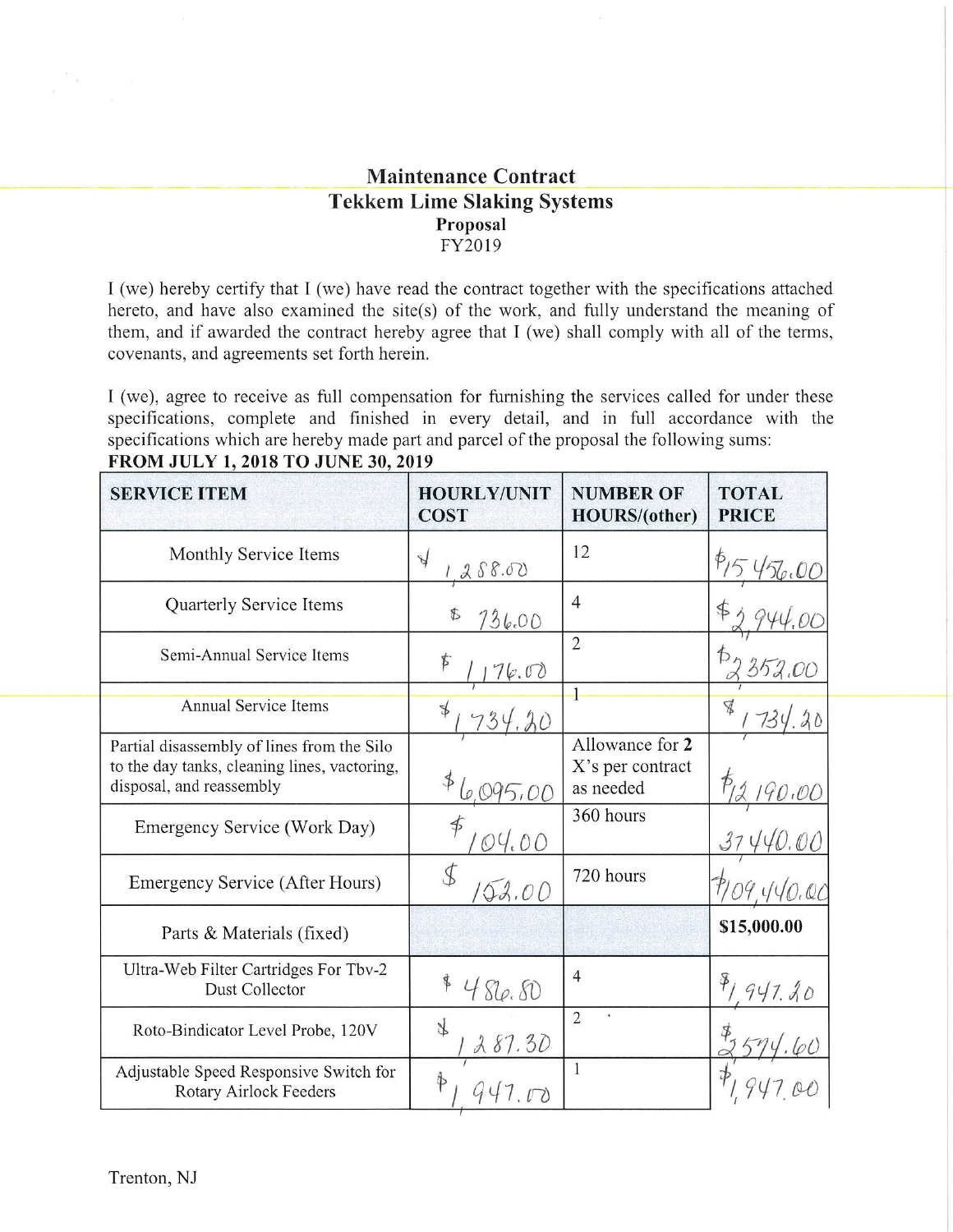## **Maintenance Contract Tekkem Lime Slaking Systems** Proposal FY2019

I (we) hereby certify that I (we) have read the contract together with the specifications attached hereto, and have also examined the site(s) of the work, and fully understand the meaning of them, and if awarded the contract hereby agree that I (we) shall comply with all of the terms, covenants, and agreements set forth herein.

I (we), agree to receive as full compensation for furnishing the services called for under these specifications, complete and finished in every detail, and in full accordance with the specifications which are hereby made part and parcel of the proposal the following sums: FROM JULY 1, 2018 TO JUNE 30, 2019

| <b>SERVICE ITEM</b>                                                                                                    | <b>HOURLY/UNIT</b><br><b>COST</b> | <b>NUMBER OF</b><br><b>HOURS/(other)</b>         | <b>TOTAL</b><br><b>PRICE</b> |
|------------------------------------------------------------------------------------------------------------------------|-----------------------------------|--------------------------------------------------|------------------------------|
| Monthly Service Items                                                                                                  | $\mathcal{A}$<br>88.00            | 12                                               |                              |
| Quarterly Service Items                                                                                                | $\Phi$<br>736.00                  | $\overline{4}$                                   |                              |
| Semi-Annual Service Items                                                                                              | $\bm{\phi}$<br>6.00               | $\overline{2}$                                   |                              |
| <b>Annual Service Items</b>                                                                                            | ¥                                 |                                                  | q                            |
| Partial disassembly of lines from the Silo<br>to the day tanks, cleaning lines, vactoring,<br>disposal, and reassembly | $\oint$                           | Allowance for 2<br>X's per contract<br>as needed |                              |
| Emergency Service (Work Day)                                                                                           | 04.00                             | 360 hours                                        |                              |
| Emergency Service (After Hours)                                                                                        | 52.00                             | 720 hours                                        |                              |
| Parts & Materials (fixed)                                                                                              |                                   |                                                  | \$15,000.00                  |
| Ultra-Web Filter Cartridges For Tbv-2<br>Dust Collector                                                                | 480.50                            | $\overline{4}$                                   |                              |
| Roto-Bindicator Level Probe, 120V                                                                                      | J<br>287.30                       | $\overline{2}$                                   |                              |
| Adjustable Speed Responsive Switch for<br>Rotary Airlock Feeders                                                       |                                   | 1                                                |                              |

 $\frac{1}{2}$  . <br> <br> <br>  $\label{eq:11} \frac{1}{2} \left( \frac{1}{2} \right) \left( \frac{1}{2} \right) \left( \frac{1}{2} \right)$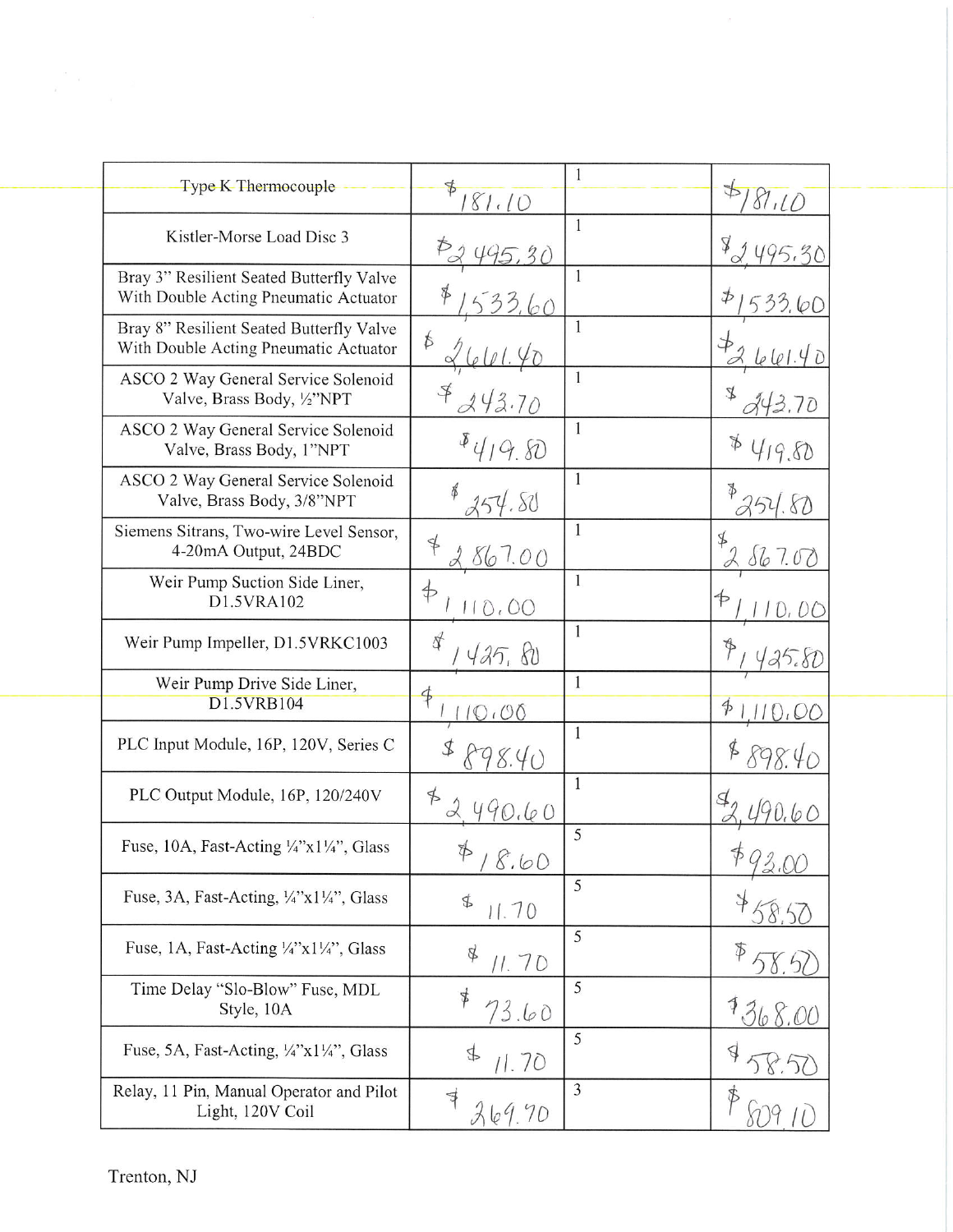| 1<br>Type K Thermocouple<br>$\Rightarrow$<br>81.10<br>81.10<br>1<br>Kistler-Morse Load Disc 3<br>Å<br>1<br>Bray 3" Resilient Seated Butterfly Valve<br>With Double Acting Pneumatic Actuator<br>$\phi$<br>$\mathbf{1}$<br>Bray 8" Resilient Seated Butterfly Valve<br>$\oint$<br>With Double Acting Pneumatic Actuator<br>$\mathbf{1}$<br>ASCO 2 Way General Service Solenoid<br>$\mathcal{F}$<br>$\mathcal{A}$<br>Valve, Brass Body, 1/2"NPT<br>43.70<br>$\mathbf{1}$<br>ASCO 2 Way General Service Solenoid<br>Þ<br>419.80<br>Valve, Brass Body, 1"NPT<br>1<br>ASCO 2 Way General Service Solenoid<br>Valve, Brass Body, 3/8"NPT<br>54.SV<br>$\mathbf{1}$<br>Siemens Sitrans, Two-wire Level Sensor,<br>\$<br>4-20mA Output, 24BDC<br>1.0()<br>$\mathbf{1}$<br>Weir Pump Suction Side Liner,<br>$\oint$<br>₱<br>D1.5VRA102<br>0,00<br>$\mathbf{1}$<br>$\oint$<br>Weir Pump Impeller, D1.5VRKC1003<br>425,80<br>$\mathbf{1}$<br>Weir Pump Drive Side Liner,<br>D1.5VRB104<br>$\oint$<br>100<br>$\mathbf{1}$<br>PLC Input Module, 16P, 120V, Series C<br>1<br>PLC Output Module, 16P, 120/240V<br>$\frac{1}{2}$<br>0.60<br>5<br>Fuse, 10A, Fast-Acting $\frac{1}{4}$ "x1 $\frac{1}{4}$ ", Glass<br>$\phi$<br>18.60<br>5<br>Fuse, 3A, Fast-Acting, $\frac{1}{4}$ <sup>2</sup> x1 $\frac{1}{4}$ <sup>2</sup> , Glass<br>\$<br>11.70<br>5<br>Fuse, 1A, Fast-Acting '/4"x1'/4", Glass<br>₿<br>11. 7 D<br>5<br>Time Delay "Slo-Blow" Fuse, MDL<br>\$<br>Style, 10A<br>73.60<br>5<br>Fuse, 5A, Fast-Acting, $\frac{1}{4}$ 'x1 $\frac{1}{4}$ '', Glass<br>₽<br>\$<br>11.70 |                                          |               |                |        |
|---------------------------------------------------------------------------------------------------------------------------------------------------------------------------------------------------------------------------------------------------------------------------------------------------------------------------------------------------------------------------------------------------------------------------------------------------------------------------------------------------------------------------------------------------------------------------------------------------------------------------------------------------------------------------------------------------------------------------------------------------------------------------------------------------------------------------------------------------------------------------------------------------------------------------------------------------------------------------------------------------------------------------------------------------------------------------------------------------------------------------------------------------------------------------------------------------------------------------------------------------------------------------------------------------------------------------------------------------------------------------------------------------------------------------------------------------------------------------------------------------------------------------------------------------------------------|------------------------------------------|---------------|----------------|--------|
|                                                                                                                                                                                                                                                                                                                                                                                                                                                                                                                                                                                                                                                                                                                                                                                                                                                                                                                                                                                                                                                                                                                                                                                                                                                                                                                                                                                                                                                                                                                                                                     |                                          |               |                |        |
|                                                                                                                                                                                                                                                                                                                                                                                                                                                                                                                                                                                                                                                                                                                                                                                                                                                                                                                                                                                                                                                                                                                                                                                                                                                                                                                                                                                                                                                                                                                                                                     |                                          |               |                |        |
|                                                                                                                                                                                                                                                                                                                                                                                                                                                                                                                                                                                                                                                                                                                                                                                                                                                                                                                                                                                                                                                                                                                                                                                                                                                                                                                                                                                                                                                                                                                                                                     |                                          |               |                |        |
|                                                                                                                                                                                                                                                                                                                                                                                                                                                                                                                                                                                                                                                                                                                                                                                                                                                                                                                                                                                                                                                                                                                                                                                                                                                                                                                                                                                                                                                                                                                                                                     |                                          |               |                |        |
|                                                                                                                                                                                                                                                                                                                                                                                                                                                                                                                                                                                                                                                                                                                                                                                                                                                                                                                                                                                                                                                                                                                                                                                                                                                                                                                                                                                                                                                                                                                                                                     |                                          |               |                |        |
|                                                                                                                                                                                                                                                                                                                                                                                                                                                                                                                                                                                                                                                                                                                                                                                                                                                                                                                                                                                                                                                                                                                                                                                                                                                                                                                                                                                                                                                                                                                                                                     |                                          |               |                | 419.80 |
|                                                                                                                                                                                                                                                                                                                                                                                                                                                                                                                                                                                                                                                                                                                                                                                                                                                                                                                                                                                                                                                                                                                                                                                                                                                                                                                                                                                                                                                                                                                                                                     |                                          |               |                | 54.80  |
|                                                                                                                                                                                                                                                                                                                                                                                                                                                                                                                                                                                                                                                                                                                                                                                                                                                                                                                                                                                                                                                                                                                                                                                                                                                                                                                                                                                                                                                                                                                                                                     |                                          |               |                | 867.02 |
|                                                                                                                                                                                                                                                                                                                                                                                                                                                                                                                                                                                                                                                                                                                                                                                                                                                                                                                                                                                                                                                                                                                                                                                                                                                                                                                                                                                                                                                                                                                                                                     |                                          |               |                |        |
|                                                                                                                                                                                                                                                                                                                                                                                                                                                                                                                                                                                                                                                                                                                                                                                                                                                                                                                                                                                                                                                                                                                                                                                                                                                                                                                                                                                                                                                                                                                                                                     |                                          |               |                |        |
|                                                                                                                                                                                                                                                                                                                                                                                                                                                                                                                                                                                                                                                                                                                                                                                                                                                                                                                                                                                                                                                                                                                                                                                                                                                                                                                                                                                                                                                                                                                                                                     |                                          |               |                |        |
|                                                                                                                                                                                                                                                                                                                                                                                                                                                                                                                                                                                                                                                                                                                                                                                                                                                                                                                                                                                                                                                                                                                                                                                                                                                                                                                                                                                                                                                                                                                                                                     |                                          |               |                |        |
|                                                                                                                                                                                                                                                                                                                                                                                                                                                                                                                                                                                                                                                                                                                                                                                                                                                                                                                                                                                                                                                                                                                                                                                                                                                                                                                                                                                                                                                                                                                                                                     |                                          |               |                |        |
|                                                                                                                                                                                                                                                                                                                                                                                                                                                                                                                                                                                                                                                                                                                                                                                                                                                                                                                                                                                                                                                                                                                                                                                                                                                                                                                                                                                                                                                                                                                                                                     |                                          |               |                |        |
|                                                                                                                                                                                                                                                                                                                                                                                                                                                                                                                                                                                                                                                                                                                                                                                                                                                                                                                                                                                                                                                                                                                                                                                                                                                                                                                                                                                                                                                                                                                                                                     |                                          |               |                |        |
|                                                                                                                                                                                                                                                                                                                                                                                                                                                                                                                                                                                                                                                                                                                                                                                                                                                                                                                                                                                                                                                                                                                                                                                                                                                                                                                                                                                                                                                                                                                                                                     |                                          |               |                |        |
|                                                                                                                                                                                                                                                                                                                                                                                                                                                                                                                                                                                                                                                                                                                                                                                                                                                                                                                                                                                                                                                                                                                                                                                                                                                                                                                                                                                                                                                                                                                                                                     |                                          |               |                |        |
|                                                                                                                                                                                                                                                                                                                                                                                                                                                                                                                                                                                                                                                                                                                                                                                                                                                                                                                                                                                                                                                                                                                                                                                                                                                                                                                                                                                                                                                                                                                                                                     |                                          |               |                |        |
|                                                                                                                                                                                                                                                                                                                                                                                                                                                                                                                                                                                                                                                                                                                                                                                                                                                                                                                                                                                                                                                                                                                                                                                                                                                                                                                                                                                                                                                                                                                                                                     |                                          |               |                |        |
| Light, 120V Coil<br>369.70                                                                                                                                                                                                                                                                                                                                                                                                                                                                                                                                                                                                                                                                                                                                                                                                                                                                                                                                                                                                                                                                                                                                                                                                                                                                                                                                                                                                                                                                                                                                          | Relay, 11 Pin, Manual Operator and Pilot | $\Rightarrow$ | $\overline{3}$ |        |